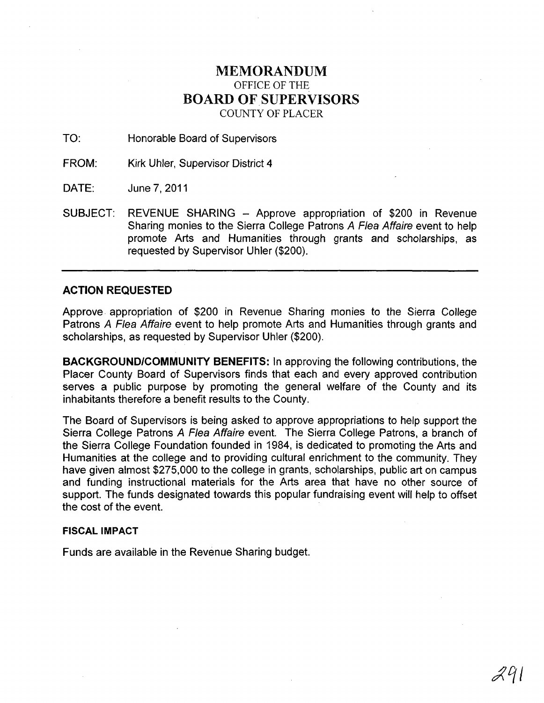## MEMORANDUM OFFICE OF THE BOARD OF SUPERVISORS COUNTY OF PLACER

TO: Honorable Board of Supervisors

FROM: Kirk Uhler, Supervisor District 4

DATE: June 7,2011

SUBJECT: REVENUE SHARING - Approve appropriation of \$200 in Revenue Sharing monies to the Sierra College Patrons A Flea Affaire event to help promote Arts and Humanities through grants and scholarships, as requested by Supervisor Uhler (\$200).

## **ACTION REQUESTED**

Approve. appropriation of \$200 in Revenue Sharing monies to the Sierra College Patrons A Flea Affaire event to help promote Arts and Humanities through grants and scholarships, as requested by Supervisor Uhler (\$200).

**BACKGROUND/COMMUNITY BENEFITS:** In approving the following contributions, the Placer County Board of Supervisors finds that each and every approved contribution serves a public purpose by promoting the general welfare of the County and its inhabitants therefore a benefit results to the County.

The Board of Supervisors is being asked to approve appropriations to help support the Sierra College Patrons A Flea Affaire event. The Sierra College Patrons, a branch of the Sierra College Foundation founded in 1984, is dedicated to promoting the Arts and Humanities at the college and to providing cultural enrichment to the community. They have given almost \$275,000 to the college in grants, scholarships, public art on campus and funding instructional materials for the Arts area that have no other source of support. The funds designated towards this popular fundraising event will help to offset the cost of the event.

## **FISCAL IMPACT**

Funds are available in the Revenue Sharing budget.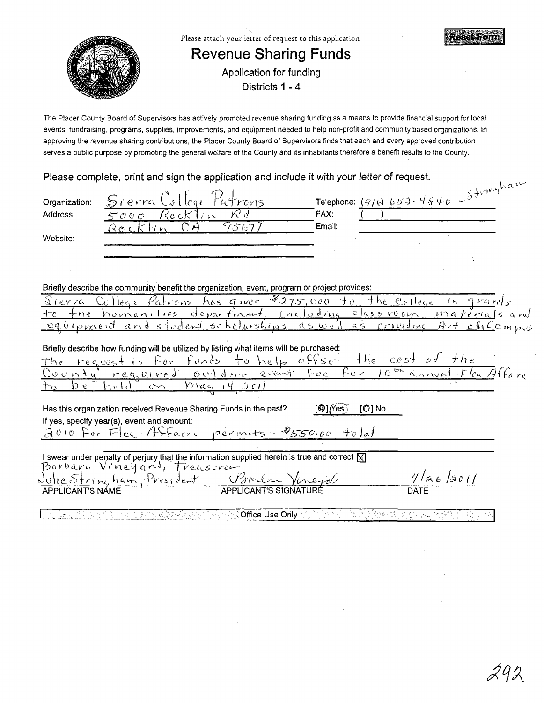

The Placer County Board of Supervisors has actively promoted revenue sharing funding as a means to provide financial support for local events, fundraising, programs, supplies, improvements, and equipment needed to help non-profit and community based organizations. In approving the revenue sharing contributions, the Placer County Board of Supervisors finds that each and every approved contribution serves a public purpose by promoting the general welfare of the County and its inhabitants therefore a benefit results to the County.

Please complete, print and sign the application and include it with your letter of request.

| Organization:                                                                                      | Sierra College<br>Patrons                                                                                                           | Telephone: $(9/6)$ 653-4840 - $5+r^{m}3^{m}$                               |
|----------------------------------------------------------------------------------------------------|-------------------------------------------------------------------------------------------------------------------------------------|----------------------------------------------------------------------------|
| Address:                                                                                           | R d<br>Rocklin<br>5000                                                                                                              | FAX:                                                                       |
| Website:                                                                                           | СĄ<br>95677<br><u>Rocklin</u>                                                                                                       | Email:                                                                     |
|                                                                                                    |                                                                                                                                     |                                                                            |
|                                                                                                    | Briefly describe the community benefit the organization, event, program or project provides:                                        |                                                                            |
| Sierra                                                                                             | College Patrons has given \$275,000 to the college in grands                                                                        |                                                                            |
| $+h_2$<br>᠊ᠰ᠖                                                                                      | homanities department, including                                                                                                    | classroom materials and                                                    |
| equipment and student ocholorships as well as providing Art oficampus                              |                                                                                                                                     |                                                                            |
| Briefly describe how funding will be utilized by listing what items will be purchased:             |                                                                                                                                     |                                                                            |
|                                                                                                    | the request is for funds to help offset the cost of the                                                                             |                                                                            |
|                                                                                                    |                                                                                                                                     | County required outdoor event fee for 10 <sup>th</sup> annual Flea Affaire |
|                                                                                                    | $rac{14}{2011}$<br>held<br>$\infty$                                                                                                 |                                                                            |
| Has this organization received Revenue Sharing Funds in the past?<br>$[O]$ No<br>[@] <i>(</i> Yes) |                                                                                                                                     |                                                                            |
|                                                                                                    | If yes, specify year(s), event and amount:                                                                                          |                                                                            |
|                                                                                                    | 2010 For Flex Affaire permits - \$550,00 told                                                                                       |                                                                            |
|                                                                                                    |                                                                                                                                     |                                                                            |
|                                                                                                    | I swear under penalty of perjury that the information supplied herein is true and correct $\boxtimes$<br>Barbara Vineyard, Treasure |                                                                            |
|                                                                                                    | Julie Stringham, President Barlow Vireyal                                                                                           | 4/36/501                                                                   |
|                                                                                                    |                                                                                                                                     | DATF                                                                       |
|                                                                                                    |                                                                                                                                     |                                                                            |
|                                                                                                    | ି Office Use Only ୍                                                                                                                 | 그림에도 진행이 오랫 방문을 지식했습니다. 바                                                  |

 $\mathbf{1}$   $\mathbf{v}$